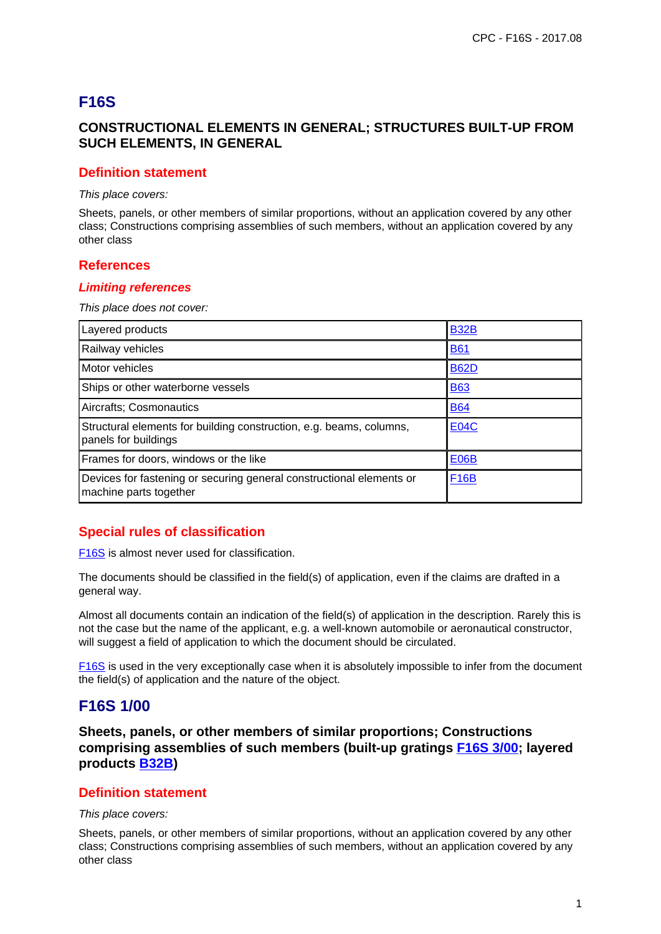# **F16S**

# **CONSTRUCTIONAL ELEMENTS IN GENERAL; STRUCTURES BUILT-UP FROM SUCH ELEMENTS, IN GENERAL**

### **Definition statement**

This place covers:

Sheets, panels, or other members of similar proportions, without an application covered by any other class; Constructions comprising assemblies of such members, without an application covered by any other class

### **References**

#### **Limiting references**

This place does not cover:

| Layered products                                                                               | <b>B32B</b> |
|------------------------------------------------------------------------------------------------|-------------|
| Railway vehicles                                                                               | <u>B61</u>  |
| Motor vehicles                                                                                 | <b>B62D</b> |
| Ships or other waterborne vessels                                                              | <b>B63</b>  |
| Aircrafts; Cosmonautics                                                                        | <b>B64</b>  |
| Structural elements for building construction, e.g. beams, columns,<br>panels for buildings    | <b>E04C</b> |
| Frames for doors, windows or the like                                                          | <b>E06B</b> |
| Devices for fastening or securing general constructional elements or<br>machine parts together | <b>F16B</b> |

# **Special rules of classification**

F16S is almost never used for classification.

The documents should be classified in the field(s) of application, even if the claims are drafted in a general way.

Almost all documents contain an indication of the field(s) of application in the description. Rarely this is not the case but the name of the applicant, e.g. a well-known automobile or aeronautical constructor, will suggest a field of application to which the document should be circulated.

F16S is used in the very exceptionally case when it is absolutely impossible to infer from the document the field(s) of application and the nature of the object.

# **F16S 1/00**

**Sheets, panels, or other members of similar proportions; Constructions comprising assemblies of such members (built-up gratings F16S 3/00; layered products B32B)**

### **Definition statement**

#### This place covers:

Sheets, panels, or other members of similar proportions, without an application covered by any other class; Constructions comprising assemblies of such members, without an application covered by any other class